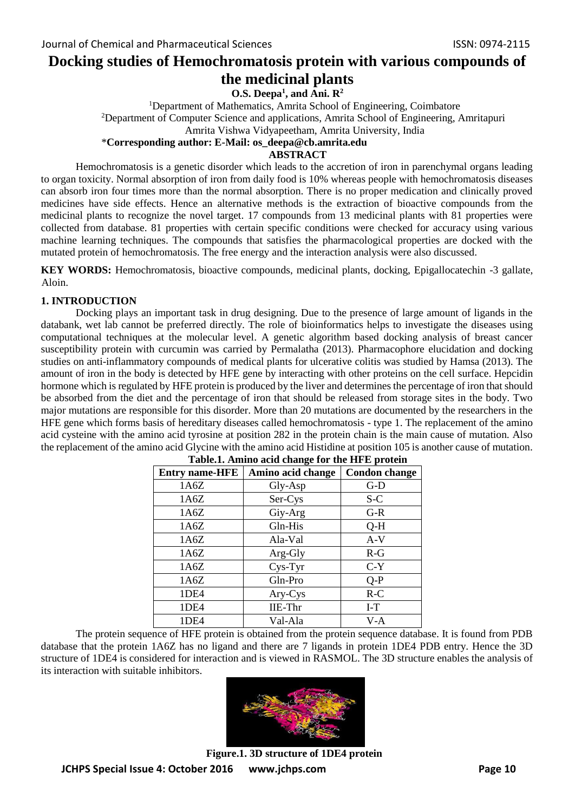# **Docking studies of Hemochromatosis protein with various compounds of the medicinal plants**

**O.S. Deepa<sup>1</sup> , and Ani. R<sup>2</sup>**

<sup>1</sup>Department of Mathematics, Amrita School of Engineering, Coimbatore <sup>2</sup>Department of Computer Science and applications, Amrita School of Engineering, Amritapuri Amrita Vishwa Vidyapeetham, Amrita University, India

## \***Corresponding author: E-Mail: os\_deepa@cb.amrita.edu**

# **ABSTRACT**

Hemochromatosis is a genetic disorder which leads to the accretion of iron in parenchymal organs leading to organ toxicity. Normal absorption of iron from daily food is 10% whereas people with hemochromatosis diseases can absorb iron four times more than the normal absorption. There is no proper medication and clinically proved medicines have side effects. Hence an alternative methods is the extraction of bioactive compounds from the medicinal plants to recognize the novel target. 17 compounds from 13 medicinal plants with 81 properties were collected from database. 81 properties with certain specific conditions were checked for accuracy using various machine learning techniques. The compounds that satisfies the pharmacological properties are docked with the mutated protein of hemochromatosis. The free energy and the interaction analysis were also discussed.

**KEY WORDS:** Hemochromatosis, bioactive compounds, medicinal plants, docking, Epigallocatechin -3 gallate, Aloin.

## **1. INTRODUCTION**

Docking plays an important task in drug designing. Due to the presence of large amount of ligands in the databank, wet lab cannot be preferred directly. The role of bioinformatics helps to investigate the diseases using computational techniques at the molecular level. A genetic algorithm based docking analysis of breast cancer susceptibility protein with curcumin was carried by Permalatha (2013). Pharmacophore elucidation and docking studies on anti-inflammatory compounds of medical plants for ulcerative colitis was studied by Hamsa (2013). The amount of iron in the body is detected by HFE gene by interacting with other proteins on the cell surface. Hepcidin hormone which is regulated by HFE protein is produced by the liver and determines the percentage of iron that should be absorbed from the diet and the percentage of iron that should be released from storage sites in the body. Two major mutations are responsible for this disorder. More than 20 mutations are documented by the researchers in the HFE gene which forms basis of hereditary diseases called hemochromatosis - type 1. The replacement of the amino acid cysteine with the amino acid tyrosine at position 282 in the protein chain is the main cause of mutation. Also the replacement of the amino acid Glycine with the amino acid Histidine at position 105 is another cause of mutation.

| <b>Entry name-HFE</b> | Amino acid change | <b>Condon</b> change |
|-----------------------|-------------------|----------------------|
| 1A6Z                  | Gly-Asp           | $G-D$                |
| 1A6Z                  | Ser-Cys           | S-C                  |
| 1A6Z                  | Giy-Arg           | $G-R$                |
| 1A6Z                  | Gln-His           | $Q-H$                |
| 1A6Z                  | Ala-Val           | $A-V$                |
| 1A6Z                  | Arg-Gly           | $R-G$                |
| 1A6Z                  | Cys-Tyr           | $C-Y$                |
| 1A6Z                  | Gln-Pro           | $Q-P$                |
| 1DE4                  | Ary-Cys           | $R-C$                |
| 1DE4                  | IIE-Thr           | $I-T$                |
| 1DE4                  | Val-Ala           | $V-A$                |

| Table.1. Amino acid change for the HFE protein |  |  |  |
|------------------------------------------------|--|--|--|
|                                                |  |  |  |

The protein sequence of HFE protein is obtained from the protein sequence database. It is found from PDB database that the protein 1A6Z has no ligand and there are 7 ligands in protein 1DE4 PDB entry. Hence the 3D structure of 1DE4 is considered for interaction and is viewed in RASMOL. The 3D structure enables the analysis of its interaction with suitable inhibitors.



**JCHPS Special Issue 4: October 2016 www.jchps.com Page 10 Figure.1. 3D structure of 1DE4 protein**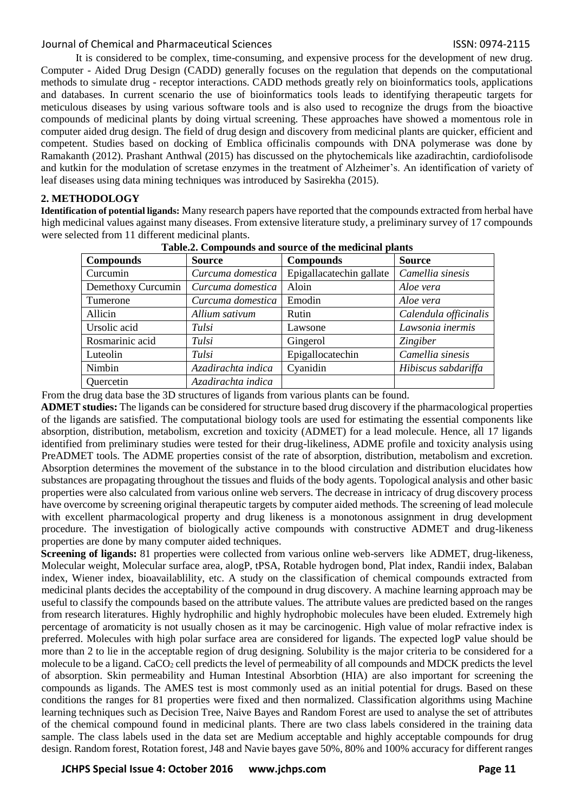## Journal of Chemical and Pharmaceutical Sciences ISSN: 0974-2115

It is considered to be complex, time-consuming, and expensive process for the development of new drug. Computer - Aided Drug Design (CADD) generally focuses on the regulation that depends on the computational methods to simulate drug - receptor interactions. CADD methods greatly rely on bioinformatics tools, applications and databases. In current scenario the use of bioinformatics tools leads to identifying therapeutic targets for meticulous diseases by using various software tools and is also used to recognize the drugs from the bioactive compounds of medicinal plants by doing virtual screening. These approaches have showed a momentous role in computer aided drug design. The field of drug design and discovery from medicinal plants are quicker, efficient and competent. Studies based on docking of Emblica officinalis compounds with DNA polymerase was done by Ramakanth (2012). Prashant Anthwal (2015) has discussed on the phytochemicals like azadirachtin, cardiofolisode and kutkin for the modulation of scretase enzymes in the treatment of Alzheimer's. An identification of variety of leaf diseases using data mining techniques was introduced by Sasirekha (2015).

## **2. METHODOLOGY**

**Identification of potential ligands:** Many research papers have reported that the compounds extracted from herbal have high medicinal values against many diseases. From extensive literature study, a preliminary survey of 17 compounds were selected from 11 different medicinal plants.

| <b>Compounds</b>   | <b>Source</b>      | <b>Compounds</b>         | <b>Source</b>         |
|--------------------|--------------------|--------------------------|-----------------------|
| Curcumin           | Curcuma domestica  | Epigallacatechin gallate | Camellia sinesis      |
| Demethoxy Curcumin | Curcuma domestica  | Aloin                    | Aloe vera             |
| Tumerone           | Curcuma domestica  | Emodin                   | Aloe vera             |
| Allicin            | Allium sativum     | Rutin                    | Calendula officinalis |
| Ursolic acid       | Tulsi              | Lawsone                  | Lawsonia inermis      |
| Rosmarinic acid    | Tulsi              | Gingerol                 | <i>Zingiber</i>       |
| Luteolin           | Tulsi              | Epigallocatechin         | Camellia sinesis      |
| Nimbin             | Azadirachta indica | Cyanidin                 | Hibiscus sabdariffa   |
| <b>Ouercetin</b>   | Azadirachta indica |                          |                       |

|  | Table.2. Compounds and source of the medicinal plants |  |
|--|-------------------------------------------------------|--|
|  |                                                       |  |

From the drug data base the 3D structures of ligands from various plants can be found.

**ADMET studies:** The ligands can be considered for structure based drug discovery if the pharmacological properties of the ligands are satisfied. The computational biology tools are used for estimating the essential components like absorption, distribution, metabolism, excretion and toxicity (ADMET) for a lead molecule. Hence, all 17 ligands identified from preliminary studies were tested for their drug-likeliness, ADME profile and toxicity analysis using PreADMET tools. The ADME properties consist of the rate of absorption, distribution, metabolism and excretion. Absorption determines the movement of the substance in to the blood circulation and distribution elucidates how substances are propagating throughout the tissues and fluids of the body agents. Topological analysis and other basic properties were also calculated from various online web servers. The decrease in intricacy of drug discovery process have overcome by screening original therapeutic targets by computer aided methods. The screening of lead molecule with excellent pharmacological property and drug likeness is a monotonous assignment in drug development procedure. The investigation of biologically active compounds with constructive ADMET and drug-likeness properties are done by many computer aided techniques.

**Screening of ligands:** 81 properties were collected from various online web-servers like ADMET, drug-likeness, Molecular weight, Molecular surface area, alogP, tPSA, Rotable hydrogen bond, Plat index, Randii index, Balaban index, Wiener index, bioavailablility, etc. A study on the classification of chemical compounds extracted from medicinal plants decides the acceptability of the compound in drug discovery. A machine learning approach may be useful to classify the compounds based on the attribute values. The attribute values are predicted based on the ranges from research literatures. Highly hydrophilic and highly hydrophobic molecules have been eluded. Extremely high percentage of aromaticity is not usually chosen as it may be carcinogenic. High value of molar refractive index is preferred. Molecules with high polar surface area are considered for ligands. The expected logP value should be more than 2 to lie in the acceptable region of drug designing. Solubility is the major criteria to be considered for a molecule to be a ligand. CaCO<sup>2</sup> cell predicts the level of permeability of all compounds and MDCK predicts the level of absorption. Skin permeability and Human Intestinal Absorbtion (HIA) are also important for screening the compounds as ligands. The AMES test is most commonly used as an initial potential for drugs. Based on these conditions the ranges for 81 properties were fixed and then normalized. Classification algorithms using Machine learning techniques such as Decision Tree, Naive Bayes and Random Forest are used to analyse the set of attributes of the chemical compound found in medicinal plants. There are two class labels considered in the training data sample. The class labels used in the data set are Medium acceptable and highly acceptable compounds for drug design. Random forest, Rotation forest, J48 and Navie bayes gave 50%, 80% and 100% accuracy for different ranges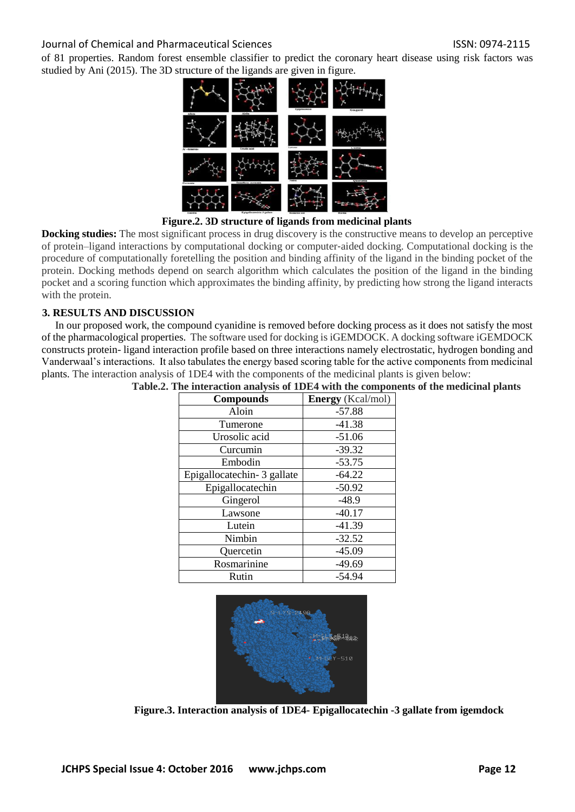#### Journal of Chemical and Pharmaceutical Sciences ISSN: 0974-2115

of 81 properties. Random forest ensemble classifier to predict the coronary heart disease using risk factors was studied by Ani (2015). The 3D structure of the ligands are given in figure.



**Figure.2. 3D structure of ligands from medicinal plants**

**Docking studies:** The most significant process in drug discovery is the constructive means to develop an perceptive of protein–ligand interactions by computational docking or computer‐aided docking. Computational docking is the procedure of computationally foretelling the position and binding affinity of the ligand in the binding pocket of the protein. Docking methods depend on search algorithm which calculates the position of the ligand in the binding pocket and a scoring function which approximates the binding affinity, by predicting how strong the ligand interacts with the protein.

## **3. RESULTS AND DISCUSSION**

In our proposed work, the compound cyanidine is removed before docking process as it does not satisfy the most of the pharmacological properties. The software used for docking is iGEMDOCK. A docking software iGEMDOCK constructs protein- ligand interaction profile based on three interactions namely electrostatic, hydrogen bonding and Vanderwaal's interactions. It also tabulates the energy based scoring table for the active components from medicinal plants. The interaction analysis of 1DE4 with the components of the medicinal plants is given below: **Table.2. The interaction analysis of 1DE4 with the components of the medicinal plants**

| $\mu$ in the action analysis of TDE4 with the component |                          |  |
|---------------------------------------------------------|--------------------------|--|
| <b>Compounds</b>                                        | <b>Energy</b> (Kcal/mol) |  |
| Aloin                                                   | $-57.88$                 |  |
| Tumerone                                                | $-41.38$                 |  |
| Urosolic acid                                           | $-51.06$                 |  |
| Curcumin                                                | $-39.32$                 |  |
| Embodin                                                 | $-53.75$                 |  |
| Epigallocatechin- 3 gallate                             | $-64.22$                 |  |
| Epigallocatechin                                        | $-50.92$                 |  |
| Gingerol                                                | $-48.9$                  |  |
| Lawsone                                                 | $-40.17$                 |  |
| Lutein                                                  | $-41.39$                 |  |
| Nimbin                                                  | $-32.52$                 |  |
| Quercetin                                               | $-45.09$                 |  |
| Rosmarinine                                             | $-49.69$                 |  |
| Rutin                                                   | $-54.94$                 |  |



**Figure.3. Interaction analysis of 1DE4- Epigallocatechin -3 gallate from igemdock**